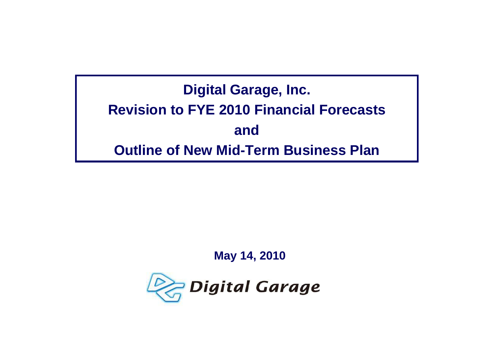# **Digital Garage, Inc. Revision to FYE 2010 Financial Forecastsand Outline of New Mid-Term Business Plan**

#### **May 14, 2010**

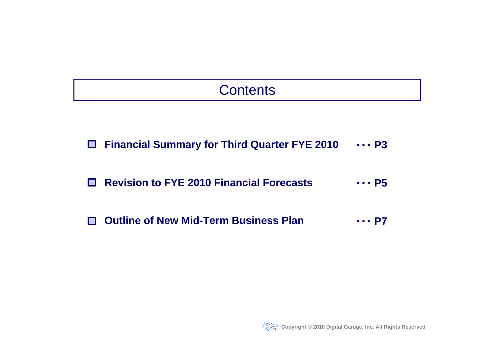# Contents

**Financial Summary for Third Quarter FYE 2010** ・・・**P3**

#### **Revision to FYE 2010 Financial Forecasts**・・・**P5**

**Outline of New Mid-Term Business Plan**П ・・・**P7**

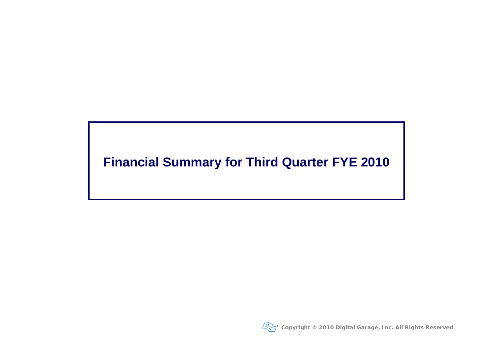## **Financial Summary for Third Quarter FYE 2010**

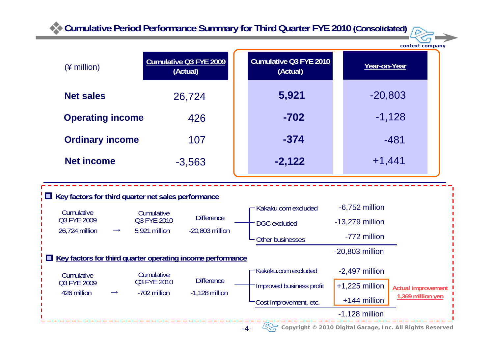**Cumulative Period Performance Summary for Third Quarter FYE 2010 (Consolidated)** 



**context company**

| (¥ million)                                                                                                                                                                      | <b>Cumulative Q3 FYE 2009</b><br>(Actual)                                                                                                                                                                                                | <b>Cumulative Q3 FYE 2010</b><br>(Actual)                                                                                                   |  | Year-on-Year                                                                                                                                           |                                                |  |
|----------------------------------------------------------------------------------------------------------------------------------------------------------------------------------|------------------------------------------------------------------------------------------------------------------------------------------------------------------------------------------------------------------------------------------|---------------------------------------------------------------------------------------------------------------------------------------------|--|--------------------------------------------------------------------------------------------------------------------------------------------------------|------------------------------------------------|--|
| <b>Net sales</b><br>26,724                                                                                                                                                       |                                                                                                                                                                                                                                          | 5,921                                                                                                                                       |  | $-20,803$                                                                                                                                              |                                                |  |
| <b>Operating income</b><br>426                                                                                                                                                   |                                                                                                                                                                                                                                          | $-702$                                                                                                                                      |  |                                                                                                                                                        | $-1,128$                                       |  |
| <b>Ordinary income</b><br>107                                                                                                                                                    |                                                                                                                                                                                                                                          | $-374$                                                                                                                                      |  |                                                                                                                                                        | $-481$                                         |  |
| <b>Net income</b>                                                                                                                                                                | $-3,563$                                                                                                                                                                                                                                 | $-2,122$                                                                                                                                    |  | $+1,441$                                                                                                                                               |                                                |  |
| <b>Example 2 Key factors for third quarter net sales performance</b><br>Cumulative<br>Q3 FYE 2009<br>26,724 million<br>$\rightarrow$<br>Cumulative<br>Q3 FYE 2009<br>426 million | Cumulative<br><b>Difference</b><br>Q3 FYE 2010<br>5,921 million<br>$-20,803$ million<br>Key factors for third quarter operating income performance<br>Cumulative<br><b>Difference</b><br>Q3 FYE 2010<br>-702 million<br>$-1,128$ million | Kakaku.com excluded<br><b>DGC</b> excluded<br>Other businesses<br>Kakaku.com excluded<br>Improved business profit<br>Cost improvement, etc. |  | $-6,752$ million<br>$-13,279$ million<br>-772 million<br>$-20,803$ million<br>$-2,497$ million<br>$+1,225$ million<br>+144 million<br>$-1,128$ million | <b>Actual improvement</b><br>1,369 million yen |  |
|                                                                                                                                                                                  |                                                                                                                                                                                                                                          | Copyright © 2010 Digital Garage, Inc. All Rights Reserved<br>$-4-$                                                                          |  |                                                                                                                                                        |                                                |  |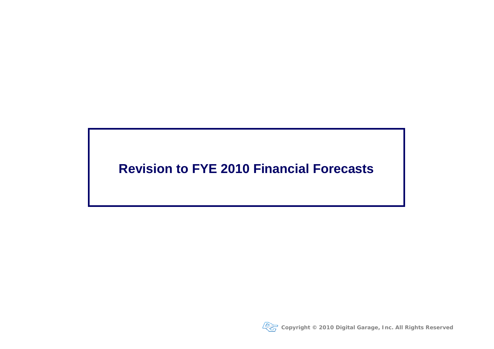#### **Revision to FYE 2010 Financial Forecasts**

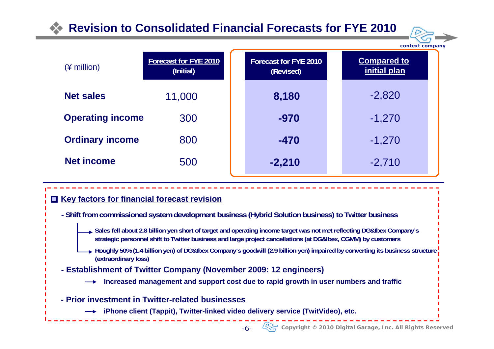#### **Revision to Consolidated Financial Forecasts for FYE 2010**



| $(*)$ million)          | Forecast for FYE 2010<br>(Initial) | Forecast for FYE 2010<br>(Revised) | <b>Compared to</b><br>initial plan |
|-------------------------|------------------------------------|------------------------------------|------------------------------------|
| <b>Net sales</b>        | 11,000                             | 8,180                              | $-2,820$                           |
| <b>Operating income</b> | 300                                | $-970$                             | $-1,270$                           |
| <b>Ordinary income</b>  | 800                                | $-470$                             | $-1,270$                           |
| <b>Net income</b>       | 500                                | $-2,210$                           | $-2,710$                           |

#### **Key factors for financial forecast revision**

- **Shift from commissioned system development business (Hybrid Solution business) to Twitter business**
	- **Sales fell about 2.8 billion yen short of target and operating income target was not met reflecting DG&Ibex Company's strategic personnel shift to Twitter business and large project cancellations (at DG&Ibex, CGMM) by customers**
	- **Roughly 50% (1.4 billion yen) of DG&Ibex Company's goodwill (2.9 billion yen) impaired by converting its business structure (extraordinary loss)**
- **Establishment of Twitter Company (November 2009: 12 engineers)**
	- **Increased management and support cost due to rapid growth in user numbers and traffic**
- **Prior investment in Twitter-related businesses**
	- **iPhone client (Tappit), Twitter-linked video delivery service (TwitVideo), etc.**
		- -6-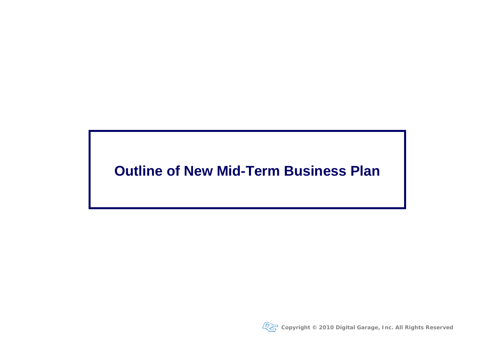## **Outline of New Mid-Term Business Plan**

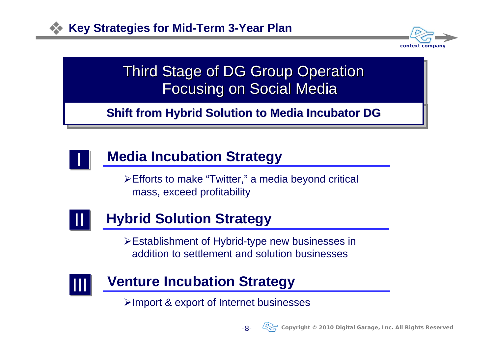

# Third Stage of DG Group Operation Focusing on Social Media

**Shift from Hybrid Solution to Media Incubator DG** 



# **Media Incubation Strategy**

¾Efforts to make "Twitter," a media beyond critical mass, exceed profitability



# **Hybrid Solution Strategy**

¾Establishment of Hybrid-type new businesses in addition to settlement and solution businesses



## **Venture Incubation Strategy**

¾Import & export of Internet businesses

-8-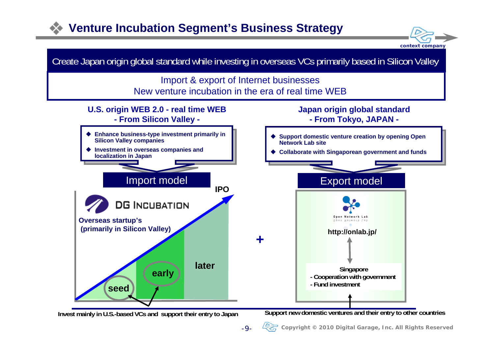## **Venture Incubation Segment's Business Strategy**





**Invest mainly in U.S.-based VCs and support their entry to Japan Support new domestic ventures and their entry to other countries**

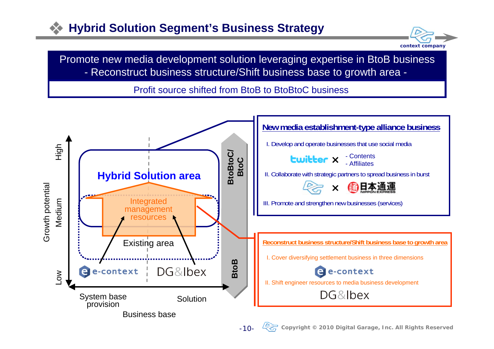#### **Hybrid Solution Segment's Business Strategy**



Promote new media development solution leveraging expertise in BtoB business - Reconstruct business structure/Shift business base to growth area -

Profit source shifted from BtoB to BtoBtoC business

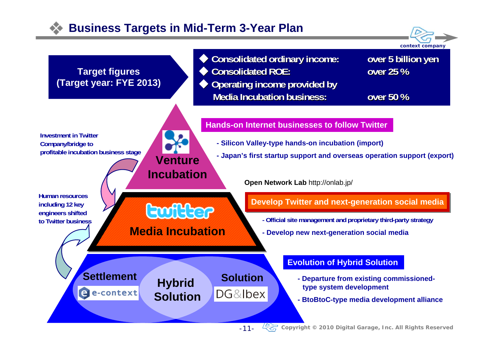#### **Business Targets in Mid-Term 3-Year Plan**



-11-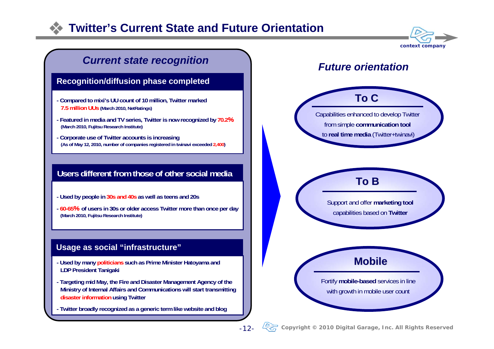#### **Twitter's Current State and Future Orientation**



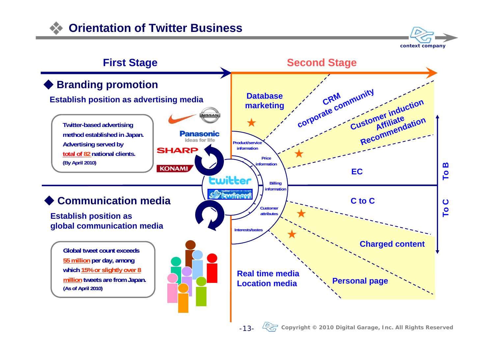

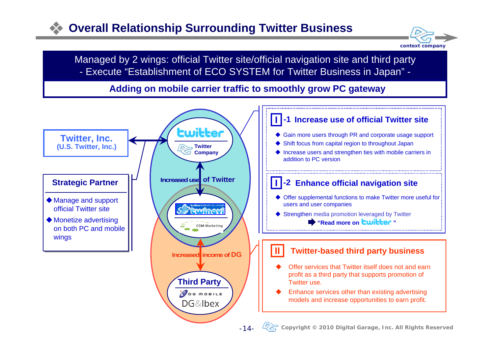#### **Overall Relationship Surrounding Twitter Business**



Managed by 2 wings: official Twitter site/official navigation site and third party - Execute "Establishment of ECO SYSTEM for Twitter Business in Japan" -

#### **Adding on mobile carrier traffic to smoothly grow PC gateway**

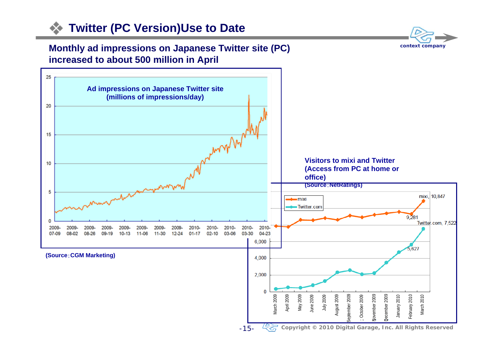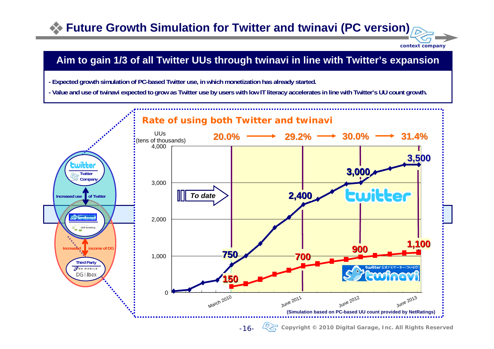## **Future Growth Simulation for Twitter and twinavi (PC version)**



#### **Aim to gain 1/3 of all Twitter UUs through twinavi in line with Twitter's expansion**

- **Expected growth simulation of PC-based Twitter use, in which monetization has already started.**
- **Value and use of twinavi expected to grow as Twitter use by users with low IT literacy accelerates in line with Twitter's UU count growth.**

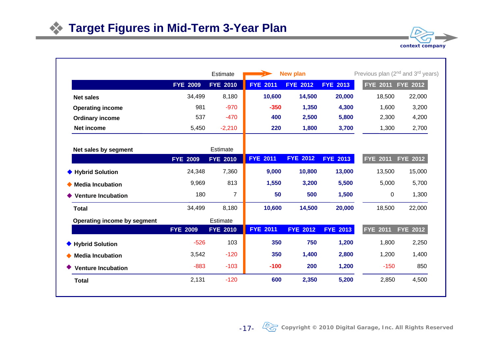|                                    |                 | Estimate        | <b>New plan</b>    |                 |                 | Previous plan (2 <sup>nd</sup> and 3 <sup>rd</sup> years) |                 |  |
|------------------------------------|-----------------|-----------------|--------------------|-----------------|-----------------|-----------------------------------------------------------|-----------------|--|
|                                    | <b>FYE 2009</b> | <b>FYE 2010</b> | <b>FYE</b><br>2011 | <b>FYE 2012</b> | <b>FYE 2013</b> | FYE 2011 FYE 2012                                         |                 |  |
| <b>Net sales</b>                   | 34,499          | 8,180           | 10,600             | 14,500          | 20,000          | 18,500                                                    | 22,000          |  |
| <b>Operating income</b>            | 981             | $-970$          | $-350$             | 1,350           | 4,300           | 1,600                                                     | 3,200           |  |
| <b>Ordinary income</b>             | 537             | $-470$          | 400                | 2,500           | 5,800           | 2,300                                                     | 4,200           |  |
| Net income                         | 5,450           | $-2,210$        | 220                | 1,800           | 3,700           | 1,300                                                     | 2,700           |  |
| Net sales by segment               |                 | Estimate        |                    |                 |                 |                                                           |                 |  |
|                                    | <b>FYE 2009</b> | <b>FYE 2010</b> | <b>FYE</b><br>2011 | <b>FYE 2012</b> | <b>FYE 2013</b> | <b>FYE 2011</b>                                           | <b>FYE 2012</b> |  |
| <b>Hybrid Solution</b>             | 24,348          | 7,360           | 9,000              | 10,800          | 13,000          | 13,500                                                    | 15,000          |  |
| ◆ Media Incubation                 | 9,969           | 813             | 1,550              | 3,200           | 5,500           | 5,000                                                     | 5,700           |  |
| <b>Venture Incubation</b>          | 180             | $\overline{7}$  | 50                 | 500             | 1,500           | 0                                                         | 1,300           |  |
| <b>Total</b>                       | 34,499          | 8,180           | 10,600             | 14,500          | 20,000          | 18,500                                                    | 22,000          |  |
| <b>Operating income by segment</b> |                 | Estimate        |                    |                 |                 |                                                           |                 |  |
|                                    | <b>FYE 2009</b> | <b>FYE 2010</b> | <b>FYE 2011</b>    | <b>FYE 2012</b> | <b>FYE 2013</b> | <b>FYE 2011</b>                                           | <b>FYE 2012</b> |  |
| ◆ Hybrid Solution                  | $-526$          | 103             | 350                | 750             | 1,200           | 1,800                                                     | 2,250           |  |
| $\blacklozenge$ Media Incubation   | 3,542           | $-120$          | 350                | 1,400           | 2,800           | 1,200                                                     | 1,400           |  |
| <b>Venture Incubation</b>          | $-883$          | $-103$          | $-100$             | 200             | 1,200           | $-150$                                                    | 850             |  |
| <b>Total</b>                       | 2,131           | $-120$          | 600                | 2,350           | 5,200           | 2,850                                                     | 4,500           |  |

**context company**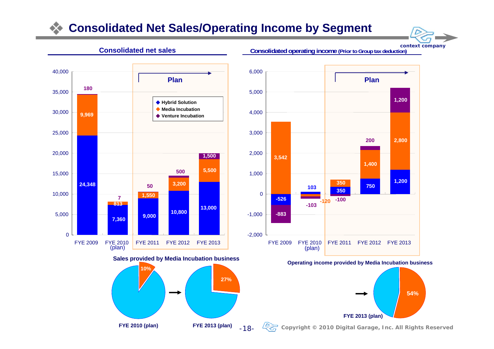#### **Consolidated Net Sales/Operating Income by Segment**





#### **Consolidated operating income (Prior to Group tax deduction)**



**Operating income pro vide d by Media Incubation business**



**Copyright © 2010 Digital Garage, Inc. All Rights Reserved**

**FYE 2010 (plan) FYE 2013 (plan)**

-18-

**27 %**